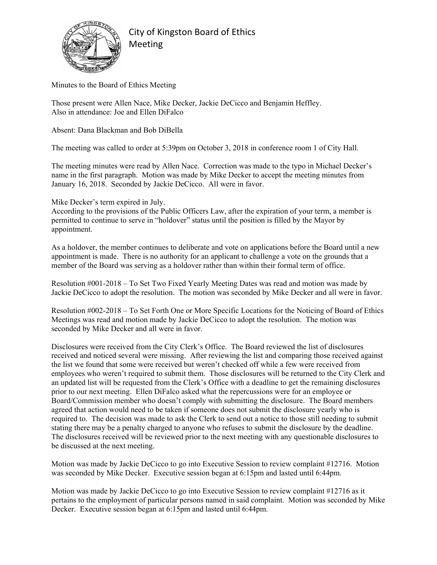

City of Kingston Board of Ethics Meeting

Minutes to the Board of Ethics Meeting

Those present were Allen Nace, Mike Decker, Jackie DeCicco and Benjamin Heffley. Also in attendance: Joe and Ellen DiFalco

Absent: Dana Blackman and Bob DiBella

The meeting was called to order at 5:39pm on October 3, 2018 in conference room 1 of City Hall.

The meeting minutes were read by Allen Nace. Correction was made to the typo in Michael Decker's name in the first paragraph. Motion was made by Mike Decker to accept the meeting minutes from January 16, 2018. Seconded by Jackie DeCicco. All were in favor.

Mike Decker's term expired in July.

According to the provisions of the Public Officers Law, after the expiration of your term, a member is permitted to continue to serve in "holdover" status until the position is filled by the Mayor by appointment.

As a holdover, the member continues to deliberate and vote on applications before the Board until a new appointment is made. There is no authority for an applicant to challenge a vote on the grounds that a member of the Board was serving as a holdover rather than within their formal term of office.

Resolution #001-2018 – To Set Two Fixed Yearly Meeting Dates was read and motion was made by Jackie DeCicco to adopt the resolution. The motion was seconded by Mike Decker and all were in favor.

Resolution #002-2018 – To Set Forth One or More Specific Locations for the Noticing of Board of Ethics Meetings was read and motion made by Jackie DeCicco to adopt the resolution. The motion was seconded by Mike Decker and all were in favor.

Disclosures were received from the City Clerk's Office. The Board reviewed the list of disclosures received and noticed several were missing. After reviewing the list and comparing those received against the list we found that some were received but weren't checked off while a few were received from employees who weren't required to submit them. Those disclosures will be returned to the City Clerk and an updated list will be requested from the Clerk's Office with a deadline to get the remaining disclosures prior to our next meeting. Ellen DiFalco asked what the repercussions were for an employee or Board/Commission member who doesn't comply with submitting the disclosure. The Board members agreed that action would need to be taken if someone does not submit the disclosure yearly who is required to. The decision was made to ask the Clerk to send out a notice to those still needing to submit stating there may be a penalty charged to anyone who refuses to submit the disclosure by the deadline. The disclosures received will be reviewed prior to the next meeting with any questionable disclosures to be discussed at the next meeting.

Motion was made by Jackie DeCicco to go into Executive Session to review complaint #12716. Motion was seconded by Mike Decker. Executive session began at 6:15pm and lasted until 6:44pm.

Motion was made by Jackie DeCicco to go into Executive Session to review complaint #12716 as it pertains to the employment of particular persons named in said complaint. Motion was seconded by Mike Decker. Executive session began at 6:15pm and lasted until 6:44pm.